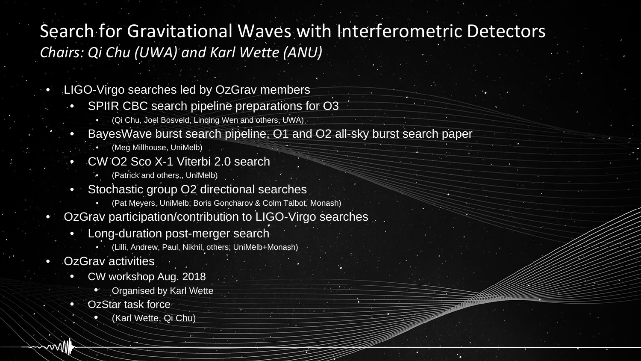### Search for Gravitational Waves with Interferometric Detectors *Chairs: Qi Chu (UWA) and Karl Wette (ANU)*

- LIGO-Virgo searches led by OzGrav members
	- SPIIR CBC search pipeline preparations for O3
		- (Qi Chu, Joel Bosveld, Linqing Wen and others, UWA)
	- BayesWave burst search pipeline, O1 and O2 all-sky burst search paper
		- (Meg Millhouse, UniMelb)
	- CW O2 Sco X-1 Viterbi 2.0 search
		- (Patrick and others,, UniMelb)
	- Stochastic group O2 directional searches
		- (Pat Meyers, UniMelb; Boris Goncharov & Colm Talbot, Monash)
- OzGrav participation/contribution to LIGO-Virgo searches
	- Long-duration post-merger search
		- (Lilli, Andrew, Paul, Nikhil, others; UniMelb+Monash)
- OzGrav activities
	- CW workshop Aug. 2018
		- **Organised by Karl Wette**
	- OzStar task force
		- (Karl Wette, Qi Chu)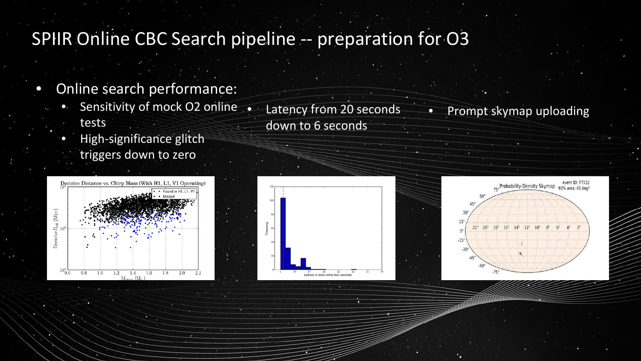## SPIIR Online CBC Search pipeline -- preparation for O3

- Online search performance:
	- Sensitivity of mock O2 online tests
	- High-significance glitch triggers down to zero





• Latency from 20 seconds

down to 6 seconds



Prompt skymap uploading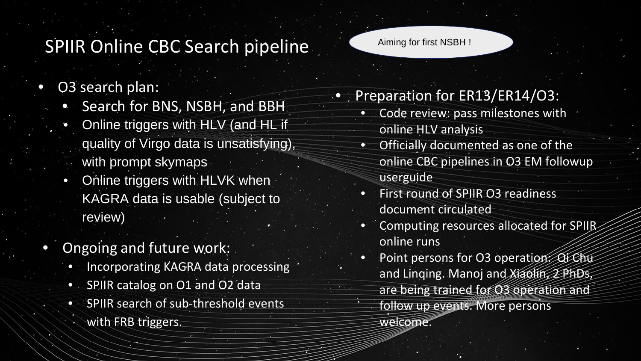## SPIIR Online CBC Search pipeline

- O3 search plan:
	- Search for BNS, NSBH, and BBH
	- Online triggers with HLV (and HL if quality of Virgo data is unsatisfying), with prompt skymaps
	- Online triggers with HLVK when KAGRA data is usable (subject to review)
- Ongoing and future work:
	- Incorporating KAGRA data processing
	- SPIIR catalog on O1 and O2 data
	- SPIIR search of sub-threshold events with FRB triggers.

Aiming for first NSBH !

- Preparation for ER13/ER14/03:
	- Code review: pass milestones with online HLV analysis
		- Officially documented as one of the online CBC pipelines in O3 EM followup userguide
		- First round of SPIIR O3 readiness document circulated
		- Computing resources allocated for SPIIR online runs
		- Point persons for O3 operation: Qi Chu and Linqing. Manoj and Xiaolin, 2 PhDs, are being trained for O3 operation and follow up events. More persons welcome.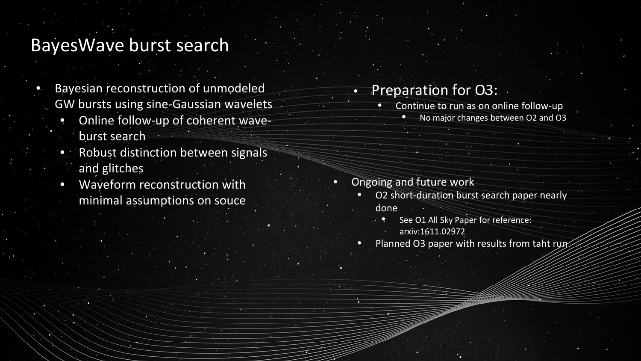### BayesWave burst search

- Bayesian reconstruction of unmodeled GW bursts using sine-Gaussian wavelets
	- Online follow-up of coherent waveburst search
	- Robust distinction between signals and glitches
	- Waveform reconstruction with minimal assumptions on souce

### • Preparation for O3:

- Continue to run as on online follow-up
	- No major changes between O2 and O3

- Ongoing and future work
	- O2 short-duration burst search paper nearly done
		- See O1 All Sky Paper for reference: arxiv:1611.02972
	- Planned O3 paper with results from taht run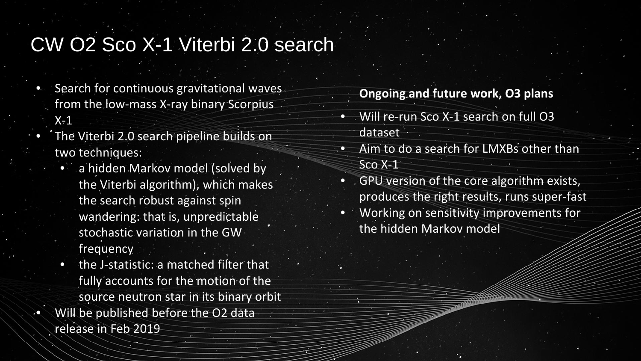# CW O2 Sco X-1 Viterbi 2.0 search

- Search for continuous gravitational waves from the low-mass X-ray binary Scorpius
	- $X-1$
- The Viterbi 2.0 search pipeline builds on two techniques:
	- a hidden Markov model (solved by the Viterbi algorithm), which makes the search robust against spin wandering: that is, unpredictable stochastic variation in the GW frequency
	- the J-statistic: a matched filter that fully accounts for the motion of the source neutron star in its binary orbit
- Will be published before the O2 data release in Feb 2019

#### **Ongoing and future work, O3 plans**

- Will re-run Sco X-1 search on full O3 dataset
- Aim to do a search for LMXBs other than Sco X-1
- GPU version of the core algorithm exists, produces the right results, runs super-fast
- Working on sensitivity improvements for the hidden Markov model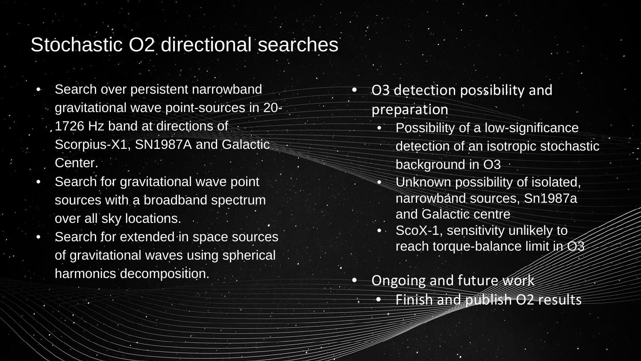## Stochastic O2 directional searches

- Search over persistent narrowband gravitational wave point-sources in 20- 1726 Hz band at directions of Scorpius-X1, SN1987A and Galactic Center.
- Search for gravitational wave point sources with a broadband spectrum over all sky locations.
- Search for extended in space sources of gravitational waves using spherical harmonics decomposition.<br> **•** Ongoing and future work
- O3 detection possibility and preparation
	- Possibility of a low-significance detection of an isotropic stochastic background in O3
		- Unknown possibility of isolated, narrowband sources, Sn1987a and Galactic centre
	- ScoX-1, sensitivity unlikely to reach torque-balance limit in O3
- - Finish and publish O2 results